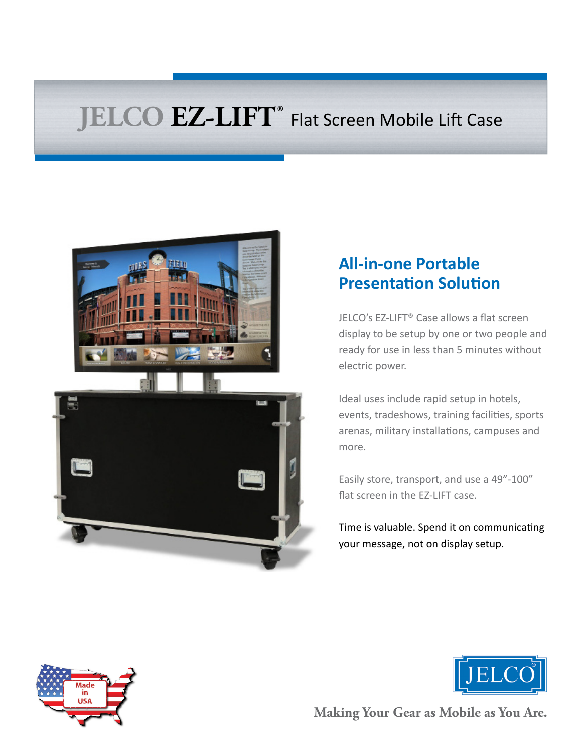# **JELCO EZ-LIFT®** Flat Screen Mobile Lift Case



# **All-in-one Portable Presentation Solution**

JELCO's EZ-LIFT® Case allows a flat screen display to be setup by one or two people and ready for use in less than 5 minutes without electric power.

Ideal uses include rapid setup in hotels, events, tradeshows, training facilities, sports arenas, military installations, campuses and more.

Easily store, transport, and use a 49"-100" flat screen in the EZ-LIFT case.

Time is valuable. Spend it on communicating your message, not on display setup.





**Making Your Gear as Mobile as You Are.**